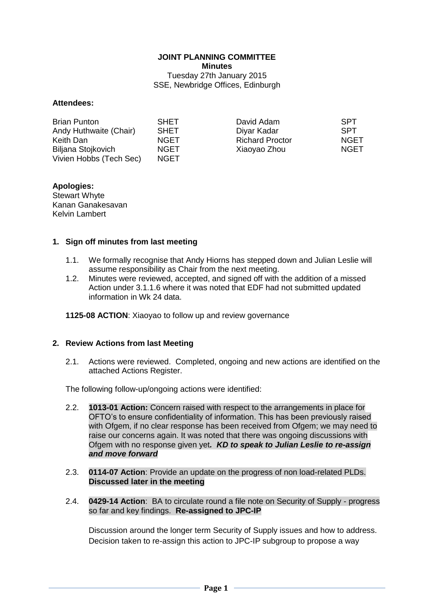# **JOINT PLANNING COMMITTEE Minutes**

Tuesday 27th January 2015 SSE, Newbridge Offices, Edinburgh

#### **Attendees:**

| <b>Brian Punton</b>     | <b>SHET</b> | David Adam             | <b>SPT</b>  |
|-------------------------|-------------|------------------------|-------------|
| Andy Huthwaite (Chair)  | <b>SHET</b> | Diyar Kadar            | <b>SPT</b>  |
| Keith Dan               | <b>NGET</b> | <b>Richard Proctor</b> | <b>NGET</b> |
| Biljana Stojkovich      | <b>NGET</b> | Xiaoyao Zhou           | <b>NGET</b> |
| Vivien Hobbs (Tech Sec) | NGET.       |                        |             |

## **Apologies:**

Stewart Whyte Kanan Ganakesavan Kelvin Lambert

#### **1. Sign off minutes from last meeting**

- 1.1. We formally recognise that Andy Hiorns has stepped down and Julian Leslie will assume responsibility as Chair from the next meeting.
- 1.2. Minutes were reviewed, accepted, and signed off with the addition of a missed Action under 3.1.1.6 where it was noted that EDF had not submitted updated information in Wk 24 data.

**1125-08 ACTION**: Xiaoyao to follow up and review governance

#### **2. Review Actions from last Meeting**

2.1. Actions were reviewed. Completed, ongoing and new actions are identified on the attached Actions Register.

The following follow-up/ongoing actions were identified:

- 2.2. **1013-01 Action:** Concern raised with respect to the arrangements in place for OFTO's to ensure confidentiality of information. This has been previously raised with Ofgem, if no clear response has been received from Ofgem; we may need to raise our concerns again. It was noted that there was ongoing discussions with Ofgem with no response given yet*. KD to speak to Julian Leslie to re-assign and move forward*
- 2.3. **0114-07 Action**: Provide an update on the progress of non load-related PLDs. **Discussed later in the meeting**
- 2.4. **0429-14 Action**: BA to circulate round a file note on Security of Supply progress so far and key findings. **Re-assigned to JPC-IP**

Discussion around the longer term Security of Supply issues and how to address. Decision taken to re-assign this action to JPC-IP subgroup to propose a way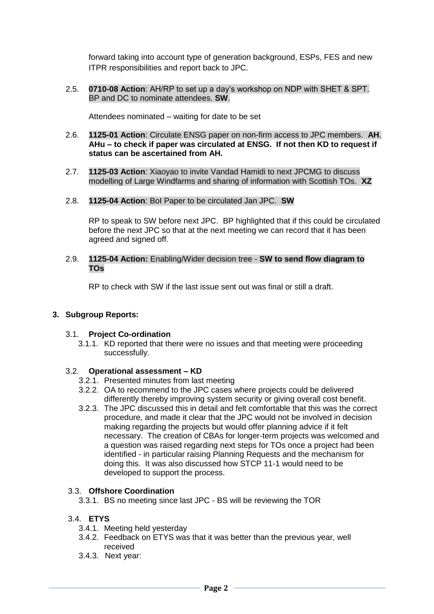forward taking into account type of generation background, ESPs, FES and new ITPR responsibilities and report back to JPC.

2.5. **0710-08 Action**: AH/RP to set up a day's workshop on NDP with SHET & SPT. BP and DC to nominate attendees. **SW**.

Attendees nominated – waiting for date to be set

- 2.6. **1125-01 Action**: Circulate ENSG paper on non-firm access to JPC members. **AH**. **AHu – to check if paper was circulated at ENSG. If not then KD to request if status can be ascertained from AH.**
- 2.7. **1125-03 Action**: Xiaoyao to invite Vandad Hamidi to next JPCMG to discuss modelling of Large Windfarms and sharing of information with Scottish TOs. **XZ**
- 2.8. **1125-04 Action**: BoI Paper to be circulated Jan JPC. **SW**

RP to speak to SW before next JPC. BP highlighted that if this could be circulated before the next JPC so that at the next meeting we can record that it has been agreed and signed off.

2.9. **1125-04 Action:** Enabling/Wider decision tree - **SW to send flow diagram to TOs**

RP to check with SW if the last issue sent out was final or still a draft.

#### **3. Subgroup Reports:**

#### 3.1. **Project Co-ordination**

3.1.1. KD reported that there were no issues and that meeting were proceeding successfully.

#### 3.2. **Operational assessment – KD**

- 3.2.1. Presented minutes from last meeting
- 3.2.2. OA to recommend to the JPC cases where projects could be delivered differently thereby improving system security or giving overall cost benefit.
- 3.2.3. The JPC discussed this in detail and felt comfortable that this was the correct procedure, and made it clear that the JPC would not be involved in decision making regarding the projects but would offer planning advice if it felt necessary. The creation of CBAs for longer-term projects was welcomed and a question was raised regarding next steps for TOs once a project had been identified - in particular raising Planning Requests and the mechanism for doing this. It was also discussed how STCP 11-1 would need to be developed to support the process.

#### 3.3. **Offshore Coordination**

3.3.1. BS no meeting since last JPC - BS will be reviewing the TOR

#### 3.4. **ETYS**

- 3.4.1. Meeting held yesterday
- 3.4.2. Feedback on ETYS was that it was better than the previous year, well received
- 3.4.3. Next year: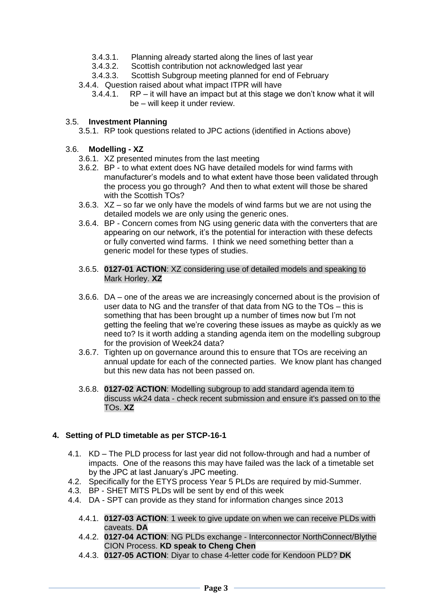- 3.4.3.1. Planning already started along the lines of last year<br>3.4.3.2. Scottish contribution not acknowledged last year
- Scottish contribution not acknowledged last year
- 3.4.3.3. Scottish Subgroup meeting planned for end of February
- 3.4.4. Question raised about what impact ITPR will have
	- 3.4.4.1. RP it will have an impact but at this stage we don't know what it will be – will keep it under review.

#### 3.5. **Investment Planning**

3.5.1. RP took questions related to JPC actions (identified in Actions above)

#### 3.6. **Modelling - XZ**

- 3.6.1. XZ presented minutes from the last meeting
- 3.6.2. BP to what extent does NG have detailed models for wind farms with manufacturer's models and to what extent have those been validated through the process you go through? And then to what extent will those be shared with the Scottish TOs?
- 3.6.3. XZ so far we only have the models of wind farms but we are not using the detailed models we are only using the generic ones.
- 3.6.4. BP Concern comes from NG using generic data with the converters that are appearing on our network, it's the potential for interaction with these defects or fully converted wind farms. I think we need something better than a generic model for these types of studies.
- 3.6.5. **0127-01 ACTION**: XZ considering use of detailed models and speaking to Mark Horley. **XZ**
- 3.6.6. DA one of the areas we are increasingly concerned about is the provision of user data to NG and the transfer of that data from NG to the TOs – this is something that has been brought up a number of times now but I'm not getting the feeling that we're covering these issues as maybe as quickly as we need to? Is it worth adding a standing agenda item on the modelling subgroup for the provision of Week24 data?
- 3.6.7. Tighten up on governance around this to ensure that TOs are receiving an annual update for each of the connected parties. We know plant has changed but this new data has not been passed on.
- 3.6.8. **0127-02 ACTION**: Modelling subgroup to add standard agenda item to discuss wk24 data - check recent submission and ensure it's passed on to the TOs. **XZ**

#### **4. Setting of PLD timetable as per STCP-16-1**

- 4.1. KD The PLD process for last year did not follow-through and had a number of impacts. One of the reasons this may have failed was the lack of a timetable set by the JPC at last January's JPC meeting.
- 4.2. Specifically for the ETYS process Year 5 PLDs are required by mid-Summer.
- 4.3. BP SHET MITS PLDs will be sent by end of this week
- 4.4. DA SPT can provide as they stand for information changes since 2013
	- 4.4.1. **0127-03 ACTION**: 1 week to give update on when we can receive PLDs with caveats. **DA**
	- 4.4.2. **0127-04 ACTION**: NG PLDs exchange Interconnector NorthConnect/Blythe CION Process. **KD speak to Cheng Chen**
	- 4.4.3. **0127-05 ACTION**: Diyar to chase 4-letter code for Kendoon PLD? **DK**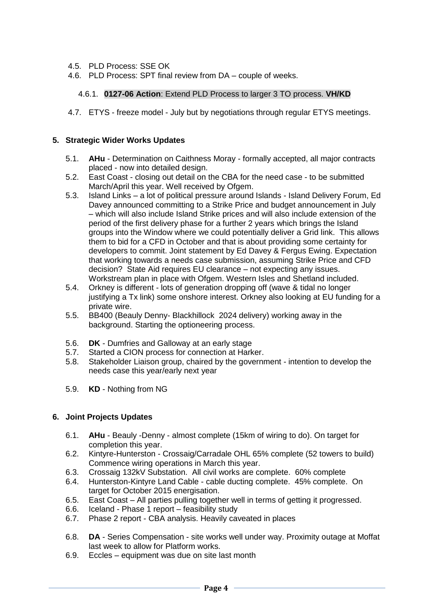- 4.5. PLD Process: SSE OK
- 4.6. PLD Process: SPT final review from DA couple of weeks.

## 4.6.1. **0127-06 Action**: Extend PLD Process to larger 3 TO process. **VH/KD**

4.7. ETYS - freeze model - July but by negotiations through regular ETYS meetings.

#### **5. Strategic Wider Works Updates**

- 5.1. **AHu** Determination on Caithness Moray formally accepted, all major contracts placed - now into detailed design.
- 5.2. East Coast closing out detail on the CBA for the need case to be submitted March/April this year. Well received by Ofgem.
- 5.3. Island Links a lot of political pressure around Islands Island Delivery Forum, Ed Davey announced committing to a Strike Price and budget announcement in July – which will also include Island Strike prices and will also include extension of the period of the first delivery phase for a further 2 years which brings the Island groups into the Window where we could potentially deliver a Grid link. This allows them to bid for a CFD in October and that is about providing some certainty for developers to commit. Joint statement by Ed Davey & Fergus Ewing. Expectation that working towards a needs case submission, assuming Strike Price and CFD decision? State Aid requires EU clearance – not expecting any issues. Workstream plan in place with Ofgem. Western Isles and Shetland included.
- 5.4. Orkney is different lots of generation dropping off (wave & tidal no longer justifying a Tx link) some onshore interest. Orkney also looking at EU funding for a private wire.
- 5.5. BB400 (Beauly Denny- Blackhillock 2024 delivery) working away in the background. Starting the optioneering process.
- 5.6. **DK** Dumfries and Galloway at an early stage
- 5.7. Started a CION process for connection at Harker.
- 5.8. Stakeholder Liaison group, chaired by the government intention to develop the needs case this year/early next year
- 5.9. **KD** Nothing from NG

#### **6. Joint Projects Updates**

- 6.1. **AHu** Beauly -Denny almost complete (15km of wiring to do). On target for completion this year.
- 6.2. Kintyre-Hunterston Crossaig/Carradale OHL 65% complete (52 towers to build) Commence wiring operations in March this year.
- 6.3. Crossaig 132kV Substation. All civil works are complete. 60% complete
- 6.4. Hunterston-Kintyre Land Cable cable ducting complete. 45% complete. On target for October 2015 energisation.
- 6.5. East Coast All parties pulling together well in terms of getting it progressed.
- 6.6. Iceland Phase 1 report feasibility study
- 6.7. Phase 2 report CBA analysis. Heavily caveated in places
- 6.8. **DA**  Series Compensation site works well under way. Proximity outage at Moffat last week to allow for Platform works.
- 6.9. Eccles equipment was due on site last month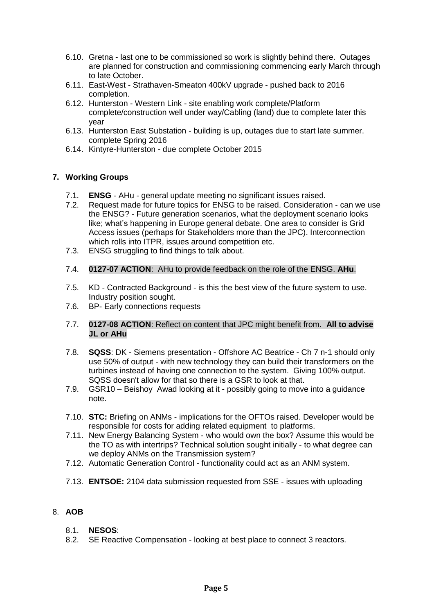- 6.10. Gretna last one to be commissioned so work is slightly behind there. Outages are planned for construction and commissioning commencing early March through to late October.
- 6.11. East-West Strathaven-Smeaton 400kV upgrade pushed back to 2016 completion.
- 6.12. Hunterston Western Link site enabling work complete/Platform complete/construction well under way/Cabling (land) due to complete later this year
- 6.13. Hunterston East Substation building is up, outages due to start late summer. complete Spring 2016
- 6.14. Kintyre-Hunterston due complete October 2015

## **7. Working Groups**

- 7.1. **ENSG** AHu general update meeting no significant issues raised.
- 7.2. Request made for future topics for ENSG to be raised. Consideration can we use the ENSG? - Future generation scenarios, what the deployment scenario looks like; what's happening in Europe general debate. One area to consider is Grid Access issues (perhaps for Stakeholders more than the JPC). Interconnection which rolls into ITPR, issues around competition etc.
- 7.3. ENSG struggling to find things to talk about.
- 7.4. **0127-07 ACTION**: AHu to provide feedback on the role of the ENSG. **AHu**.
- 7.5. KD Contracted Background is this the best view of the future system to use. Industry position sought.
- 7.6. BP- Early connections requests
- 7.7. **0127-08 ACTION**: Reflect on content that JPC might benefit from. **All to advise JL or AHu**
- 7.8. **SQSS**: DK Siemens presentation Offshore AC Beatrice Ch 7 n-1 should only use 50% of output - with new technology they can build their transformers on the turbines instead of having one connection to the system. Giving 100% output. SQSS doesn't allow for that so there is a GSR to look at that.
- 7.9. GSR10 Beishoy Awad looking at it possibly going to move into a guidance note.
- 7.10. **STC:** Briefing on ANMs implications for the OFTOs raised. Developer would be responsible for costs for adding related equipment to platforms.
- 7.11. New Energy Balancing System who would own the box? Assume this would be the TO as with intertrips? Technical solution sought initially - to what degree can we deploy ANMs on the Transmission system?
- 7.12. Automatic Generation Control functionality could act as an ANM system.
- 7.13. **ENTSOE:** 2104 data submission requested from SSE issues with uploading

## 8. **AOB**

- 8.1. **NESOS**:
- 8.2. SE Reactive Compensation looking at best place to connect 3 reactors.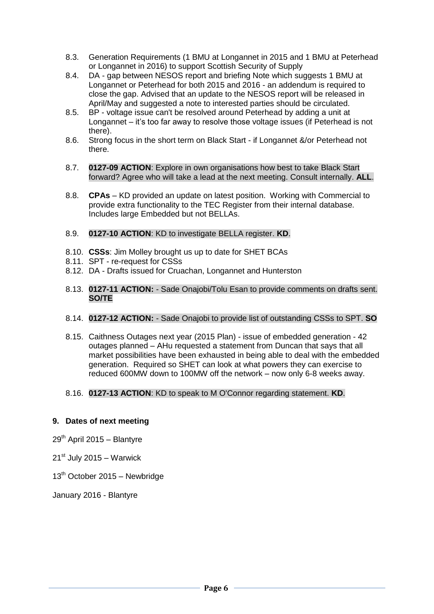- 8.3. Generation Requirements (1 BMU at Longannet in 2015 and 1 BMU at Peterhead or Longannet in 2016) to support Scottish Security of Supply
- 8.4. DA gap between NESOS report and briefing Note which suggests 1 BMU at Longannet or Peterhead for both 2015 and 2016 - an addendum is required to close the gap. Advised that an update to the NESOS report will be released in April/May and suggested a note to interested parties should be circulated.
- 8.5. BP voltage issue can't be resolved around Peterhead by adding a unit at Longannet – it's too far away to resolve those voltage issues (if Peterhead is not there).
- 8.6. Strong focus in the short term on Black Start if Longannet &/or Peterhead not there.
- 8.7. **0127-09 ACTION**: Explore in own organisations how best to take Black Start forward? Agree who will take a lead at the next meeting. Consult internally. **ALL**.
- 8.8. **CPAs**  KD provided an update on latest position. Working with Commercial to provide extra functionality to the TEC Register from their internal database. Includes large Embedded but not BELLAs.

## 8.9. **0127-10 ACTION**: KD to investigate BELLA register. **KD**.

- 8.10. **CSSs**: Jim Molley brought us up to date for SHET BCAs
- 8.11. SPT re-request for CSSs
- 8.12. DA Drafts issued for Cruachan, Longannet and Hunterston
- 8.13. **0127-11 ACTION:**  Sade Onajobi/Tolu Esan to provide comments on drafts sent. **SO/TE**

## 8.14. **0127-12 ACTION:** - Sade Onajobi to provide list of outstanding CSSs to SPT. **SO**

8.15. Caithness Outages next year (2015 Plan) - issue of embedded generation - 42 outages planned – AHu requested a statement from Duncan that says that all market possibilities have been exhausted in being able to deal with the embedded generation. Required so SHET can look at what powers they can exercise to reduced 600MW down to 100MW off the network – now only 6-8 weeks away.

#### 8.16. **0127-13 ACTION**: KD to speak to M O'Connor regarding statement. **KD**.

#### **9. Dates of next meeting**

 $29<sup>th</sup>$  April 2015 – Blantyre

 $21<sup>st</sup>$  July 2015 – Warwick

 $13<sup>th</sup>$  October 2015 – Newbridge

January 2016 - Blantyre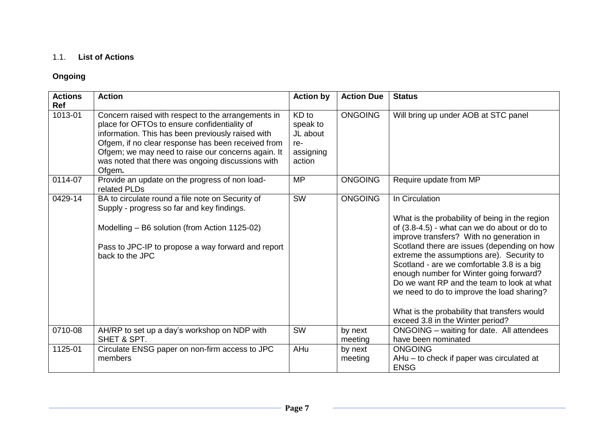## 1.1. **List of Actions**

## **Ongoing**

| <b>Actions</b><br><b>Ref</b> | <b>Action</b>                                                                                                                                                                                                                                                                                                                      | <b>Action by</b>                                            | <b>Action Due</b>  | <b>Status</b>                                                                                                                                                                                                                                                                                                                                                                                                                                                                                                                     |
|------------------------------|------------------------------------------------------------------------------------------------------------------------------------------------------------------------------------------------------------------------------------------------------------------------------------------------------------------------------------|-------------------------------------------------------------|--------------------|-----------------------------------------------------------------------------------------------------------------------------------------------------------------------------------------------------------------------------------------------------------------------------------------------------------------------------------------------------------------------------------------------------------------------------------------------------------------------------------------------------------------------------------|
| 1013-01                      | Concern raised with respect to the arrangements in<br>place for OFTOs to ensure confidentiality of<br>information. This has been previously raised with<br>Ofgem, if no clear response has been received from<br>Ofgem; we may need to raise our concerns again. It<br>was noted that there was ongoing discussions with<br>Ofgem. | KD to<br>speak to<br>JL about<br>re-<br>assigning<br>action | <b>ONGOING</b>     | Will bring up under AOB at STC panel                                                                                                                                                                                                                                                                                                                                                                                                                                                                                              |
| 0114-07                      | Provide an update on the progress of non load-<br>related PLDs                                                                                                                                                                                                                                                                     | <b>MP</b>                                                   | <b>ONGOING</b>     | Require update from MP                                                                                                                                                                                                                                                                                                                                                                                                                                                                                                            |
| 0429-14                      | BA to circulate round a file note on Security of<br>Supply - progress so far and key findings.<br>Modelling - B6 solution (from Action 1125-02)<br>Pass to JPC-IP to propose a way forward and report<br>back to the JPC                                                                                                           | <b>SW</b>                                                   | <b>ONGOING</b>     | In Circulation<br>What is the probability of being in the region<br>of (3.8-4.5) - what can we do about or do to<br>improve transfers? With no generation in<br>Scotland there are issues (depending on how<br>extreme the assumptions are). Security to<br>Scotland - are we comfortable 3.8 is a big<br>enough number for Winter going forward?<br>Do we want RP and the team to look at what<br>we need to do to improve the load sharing?<br>What is the probability that transfers would<br>exceed 3.8 in the Winter period? |
| 0710-08                      | AH/RP to set up a day's workshop on NDP with<br>SHET & SPT.                                                                                                                                                                                                                                                                        | SW                                                          | by next<br>meeting | ONGOING - waiting for date. All attendees<br>have been nominated                                                                                                                                                                                                                                                                                                                                                                                                                                                                  |
| 1125-01                      | Circulate ENSG paper on non-firm access to JPC<br>members                                                                                                                                                                                                                                                                          | AHu                                                         | by next<br>meeting | <b>ONGOING</b><br>AHu – to check if paper was circulated at<br><b>ENSG</b>                                                                                                                                                                                                                                                                                                                                                                                                                                                        |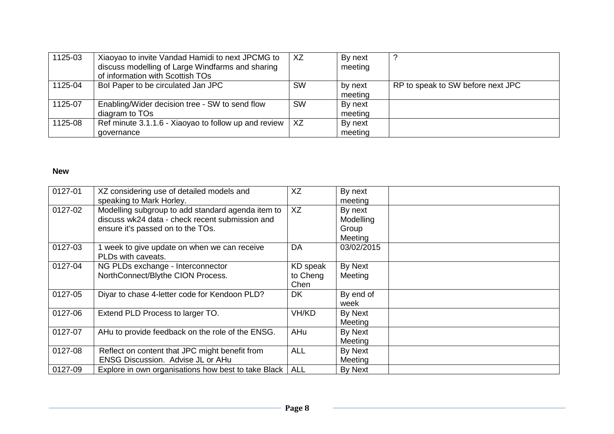| 1125-03 | Xiaoyao to invite Vandad Hamidi to next JPCMG to<br>discuss modelling of Large Windfarms and sharing<br>of information with Scottish TOs | XZ        | By next<br>meeting |                                   |
|---------|------------------------------------------------------------------------------------------------------------------------------------------|-----------|--------------------|-----------------------------------|
| 1125-04 | Bol Paper to be circulated Jan JPC                                                                                                       | <b>SW</b> | by next<br>meeting | RP to speak to SW before next JPC |
| 1125-07 | Enabling/Wider decision tree - SW to send flow<br>diagram to TOs                                                                         | <b>SW</b> | By next<br>meeting |                                   |
| 1125-08 | Ref minute 3.1.1.6 - Xiaoyao to follow up and review  <br>governance                                                                     | XZ.       | By next<br>meeting |                                   |

## **New**

| 0127-01 | XZ considering use of detailed models and           | XZ         | By next    |  |
|---------|-----------------------------------------------------|------------|------------|--|
|         | speaking to Mark Horley.                            |            | meeting    |  |
| 0127-02 | Modelling subgroup to add standard agenda item to   | XZ         | By next    |  |
|         | discuss wk24 data - check recent submission and     |            | Modelling  |  |
|         | ensure it's passed on to the TOs.                   |            | Group      |  |
|         |                                                     |            | Meeting    |  |
| 0127-03 | week to give update on when we can receive          | DA         | 03/02/2015 |  |
|         | PLDs with caveats.                                  |            |            |  |
| 0127-04 | NG PLDs exchange - Interconnector                   | KD speak   | By Next    |  |
|         | NorthConnect/Blythe CION Process.                   | to Cheng   | Meeting    |  |
|         |                                                     | Chen       |            |  |
| 0127-05 | Diyar to chase 4-letter code for Kendoon PLD?       | <b>DK</b>  | By end of  |  |
|         |                                                     |            | week       |  |
| 0127-06 | Extend PLD Process to larger TO.                    | VH/KD      | By Next    |  |
|         |                                                     |            | Meeting    |  |
| 0127-07 | AHu to provide feedback on the role of the ENSG.    | AHu        | By Next    |  |
|         |                                                     |            | Meeting    |  |
| 0127-08 | Reflect on content that JPC might benefit from      | <b>ALL</b> | By Next    |  |
|         | ENSG Discussion. Advise JL or AHu                   |            | Meeting    |  |
| 0127-09 | Explore in own organisations how best to take Black | <b>ALL</b> | By Next    |  |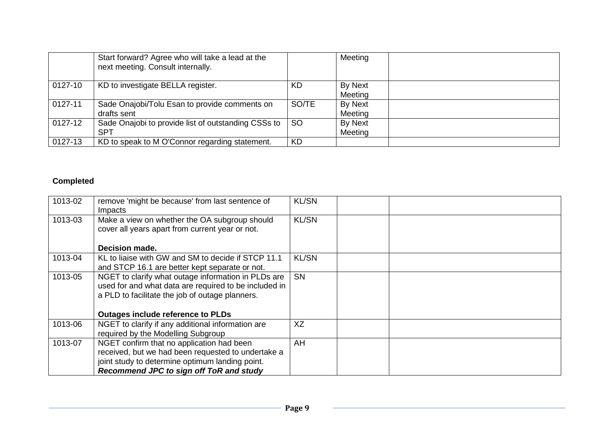|         | Start forward? Agree who will take a lead at the<br>next meeting. Consult internally. |               | Meeting            |  |
|---------|---------------------------------------------------------------------------------------|---------------|--------------------|--|
| 0127-10 | KD to investigate BELLA register.                                                     | <b>KD</b>     | By Next<br>Meeting |  |
| 0127-11 | Sade Onajobi/Tolu Esan to provide comments on<br>drafts sent                          | SO/TE         | By Next<br>Meeting |  |
| 0127-12 | Sade Onajobi to provide list of outstanding CSSs to<br><b>SPT</b>                     | <sub>SO</sub> | By Next<br>Meeting |  |
| 0127-13 | KD to speak to M O'Connor regarding statement.                                        | <b>KD</b>     |                    |  |

## **Completed**

| 1013-02 | remove 'might be because' from last sentence of<br>Impacts                                       | <b>KL/SN</b> |  |
|---------|--------------------------------------------------------------------------------------------------|--------------|--|
| 1013-03 | Make a view on whether the OA subgroup should<br>cover all years apart from current year or not. | <b>KL/SN</b> |  |
|         | Decision made.                                                                                   |              |  |
| 1013-04 | KL to liaise with GW and SM to decide if STCP 11.1                                               | <b>KL/SN</b> |  |
|         | and STCP 16.1 are better kept separate or not.                                                   |              |  |
| 1013-05 | NGET to clarify what outage information in PLDs are                                              | <b>SN</b>    |  |
|         | used for and what data are required to be included in                                            |              |  |
|         | a PLD to facilitate the job of outage planners.                                                  |              |  |
|         | <b>Outages include reference to PLDs</b>                                                         |              |  |
| 1013-06 | NGET to clarify if any additional information are                                                | XZ           |  |
|         | required by the Modelling Subgroup                                                               |              |  |
| 1013-07 | NGET confirm that no application had been                                                        | AH           |  |
|         | received, but we had been requested to undertake a                                               |              |  |
|         | joint study to determine optimum landing point.                                                  |              |  |
|         | Recommend JPC to sign off ToR and study                                                          |              |  |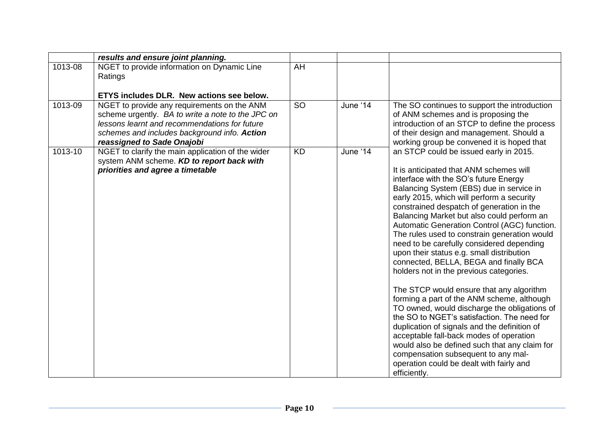|         | results and ensure joint planning.                                                                                                                                                                                              |           |          |                                                                                                                                                                                                                                                                                                                                                                                                                                                                                                                                                                                                                                                                                                                                                                                                                                                                                                                                                                                                                                       |
|---------|---------------------------------------------------------------------------------------------------------------------------------------------------------------------------------------------------------------------------------|-----------|----------|---------------------------------------------------------------------------------------------------------------------------------------------------------------------------------------------------------------------------------------------------------------------------------------------------------------------------------------------------------------------------------------------------------------------------------------------------------------------------------------------------------------------------------------------------------------------------------------------------------------------------------------------------------------------------------------------------------------------------------------------------------------------------------------------------------------------------------------------------------------------------------------------------------------------------------------------------------------------------------------------------------------------------------------|
| 1013-08 | NGET to provide information on Dynamic Line<br>Ratings                                                                                                                                                                          | AH        |          |                                                                                                                                                                                                                                                                                                                                                                                                                                                                                                                                                                                                                                                                                                                                                                                                                                                                                                                                                                                                                                       |
|         | ETYS includes DLR. New actions see below.                                                                                                                                                                                       |           |          |                                                                                                                                                                                                                                                                                                                                                                                                                                                                                                                                                                                                                                                                                                                                                                                                                                                                                                                                                                                                                                       |
| 1013-09 | NGET to provide any requirements on the ANM<br>scheme urgently. BA to write a note to the JPC on<br>lessons learnt and recommendations for future<br>schemes and includes background info. Action<br>reassigned to Sade Onajobi | <b>SO</b> | June '14 | The SO continues to support the introduction<br>of ANM schemes and is proposing the<br>introduction of an STCP to define the process<br>of their design and management. Should a<br>working group be convened it is hoped that                                                                                                                                                                                                                                                                                                                                                                                                                                                                                                                                                                                                                                                                                                                                                                                                        |
| 1013-10 | NGET to clarify the main application of the wider<br>system ANM scheme. KD to report back with<br>priorities and agree a timetable                                                                                              | <b>KD</b> | June '14 | an STCP could be issued early in 2015.<br>It is anticipated that ANM schemes will<br>interface with the SO's future Energy<br>Balancing System (EBS) due in service in<br>early 2015, which will perform a security<br>constrained despatch of generation in the<br>Balancing Market but also could perform an<br>Automatic Generation Control (AGC) function.<br>The rules used to constrain generation would<br>need to be carefully considered depending<br>upon their status e.g. small distribution<br>connected, BELLA, BEGA and finally BCA<br>holders not in the previous categories.<br>The STCP would ensure that any algorithm<br>forming a part of the ANM scheme, although<br>TO owned, would discharge the obligations of<br>the SO to NGET's satisfaction. The need for<br>duplication of signals and the definition of<br>acceptable fall-back modes of operation<br>would also be defined such that any claim for<br>compensation subsequent to any mal-<br>operation could be dealt with fairly and<br>efficiently. |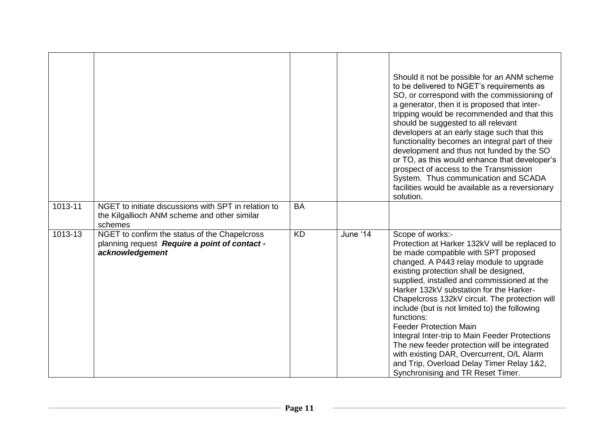| 1013-11 | NGET to initiate discussions with SPT in relation to<br>the Kilgallioch ANM scheme and other similar                         | <b>BA</b> |          | Should it not be possible for an ANM scheme<br>to be delivered to NGET's requirements as<br>SO, or correspond with the commissioning of<br>a generator, then it is proposed that inter-<br>tripping would be recommended and that this<br>should be suggested to all relevant<br>developers at an early stage such that this<br>functionality becomes an integral part of their<br>development and thus not funded by the SO<br>or TO, as this would enhance that developer's<br>prospect of access to the Transmission<br>System. Thus communication and SCADA<br>facilities would be available as a reversionary<br>solution.                                              |
|---------|------------------------------------------------------------------------------------------------------------------------------|-----------|----------|------------------------------------------------------------------------------------------------------------------------------------------------------------------------------------------------------------------------------------------------------------------------------------------------------------------------------------------------------------------------------------------------------------------------------------------------------------------------------------------------------------------------------------------------------------------------------------------------------------------------------------------------------------------------------|
| 1013-13 | schemes<br>NGET to confirm the status of the Chapelcross<br>planning request Require a point of contact -<br>acknowledgement | <b>KD</b> | June '14 | Scope of works:-<br>Protection at Harker 132kV will be replaced to<br>be made compatible with SPT proposed<br>changed. A P443 relay module to upgrade<br>existing protection shall be designed,<br>supplied, installed and commissioned at the<br>Harker 132kV substation for the Harker-<br>Chapelcross 132kV circuit. The protection will<br>include (but is not limited to) the following<br>functions:<br><b>Feeder Protection Main</b><br>Integral Inter-trip to Main Feeder Protections<br>The new feeder protection will be integrated<br>with existing DAR, Overcurrent, O/L Alarm<br>and Trip, Overload Delay Timer Relay 1&2,<br>Synchronising and TR Reset Timer. |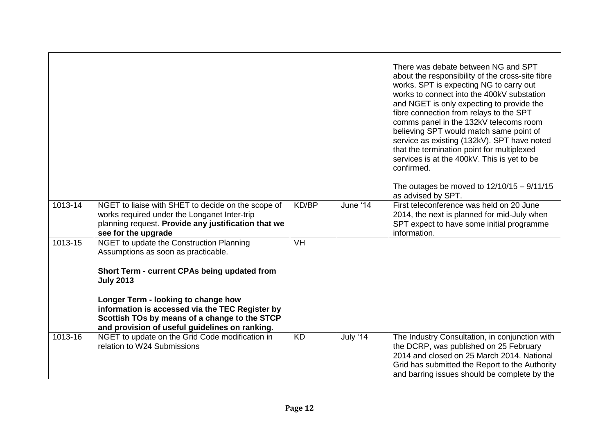|             |                                                                                                                                                                                                                                                                                                                                                  |                           |          | There was debate between NG and SPT<br>about the responsibility of the cross-site fibre<br>works. SPT is expecting NG to carry out<br>works to connect into the 400kV substation<br>and NGET is only expecting to provide the<br>fibre connection from relays to the SPT<br>comms panel in the 132kV telecoms room<br>believing SPT would match same point of<br>service as existing (132kV). SPT have noted<br>that the termination point for multiplexed<br>services is at the 400kV. This is yet to be<br>confirmed.<br>The outages be moved to $12/10/15 - 9/11/15$<br>as advised by SPT. |
|-------------|--------------------------------------------------------------------------------------------------------------------------------------------------------------------------------------------------------------------------------------------------------------------------------------------------------------------------------------------------|---------------------------|----------|-----------------------------------------------------------------------------------------------------------------------------------------------------------------------------------------------------------------------------------------------------------------------------------------------------------------------------------------------------------------------------------------------------------------------------------------------------------------------------------------------------------------------------------------------------------------------------------------------|
| 1013-14     | NGET to liaise with SHET to decide on the scope of<br>works required under the Longanet Inter-trip<br>planning request. Provide any justification that we<br>see for the upgrade                                                                                                                                                                 | KD/BP                     | June '14 | First teleconference was held on 20 June<br>2014, the next is planned for mid-July when<br>SPT expect to have some initial programme<br>information.                                                                                                                                                                                                                                                                                                                                                                                                                                          |
| $1013 - 15$ | NGET to update the Construction Planning<br>Assumptions as soon as practicable.<br>Short Term - current CPAs being updated from<br><b>July 2013</b><br>Longer Term - looking to change how<br>information is accessed via the TEC Register by<br>Scottish TOs by means of a change to the STCP<br>and provision of useful guidelines on ranking. | $\overline{\mathsf{V}}$ H |          |                                                                                                                                                                                                                                                                                                                                                                                                                                                                                                                                                                                               |
| 1013-16     | NGET to update on the Grid Code modification in<br>relation to W24 Submissions                                                                                                                                                                                                                                                                   | <b>KD</b>                 | July '14 | The Industry Consultation, in conjunction with<br>the DCRP, was published on 25 February<br>2014 and closed on 25 March 2014. National<br>Grid has submitted the Report to the Authority<br>and barring issues should be complete by the                                                                                                                                                                                                                                                                                                                                                      |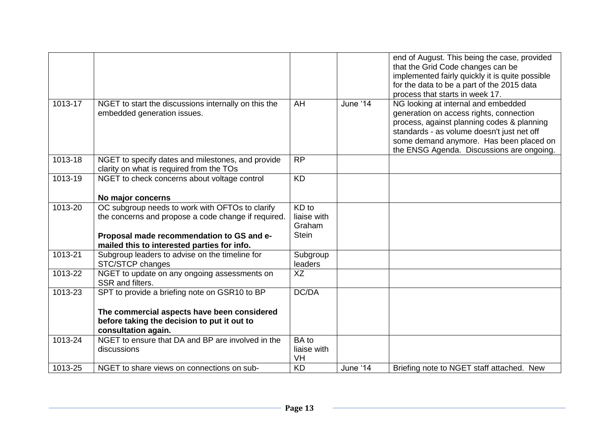|             |                                                                                                                   |                                   |          | end of August. This being the case, provided<br>that the Grid Code changes can be<br>implemented fairly quickly it is quite possible<br>for the data to be a part of the 2015 data<br>process that starts in week 17.                                              |
|-------------|-------------------------------------------------------------------------------------------------------------------|-----------------------------------|----------|--------------------------------------------------------------------------------------------------------------------------------------------------------------------------------------------------------------------------------------------------------------------|
| $1013 - 17$ | NGET to start the discussions internally on this the<br>embedded generation issues.                               | AH                                | June '14 | NG looking at internal and embedded<br>generation on access rights, connection<br>process, against planning codes & planning<br>standards - as volume doesn't just net off<br>some demand anymore. Has been placed on<br>the ENSG Agenda. Discussions are ongoing. |
| 1013-18     | NGET to specify dates and milestones, and provide<br>clarity on what is required from the TOs                     | <b>RP</b>                         |          |                                                                                                                                                                                                                                                                    |
| 1013-19     | NGET to check concerns about voltage control                                                                      | $\overline{KD}$                   |          |                                                                                                                                                                                                                                                                    |
|             | No major concerns                                                                                                 |                                   |          |                                                                                                                                                                                                                                                                    |
| 1013-20     | OC subgroup needs to work with OFTOs to clarify<br>the concerns and propose a code change if required.            | KD to<br>liaise with<br>Graham    |          |                                                                                                                                                                                                                                                                    |
|             | Proposal made recommendation to GS and e-<br>mailed this to interested parties for info.                          | <b>Stein</b>                      |          |                                                                                                                                                                                                                                                                    |
| 1013-21     | Subgroup leaders to advise on the timeline for<br>STC/STCP changes                                                | Subgroup<br>leaders               |          |                                                                                                                                                                                                                                                                    |
| 1013-22     | NGET to update on any ongoing assessments on<br>SSR and filters.                                                  | $\overline{XZ}$                   |          |                                                                                                                                                                                                                                                                    |
| 1013-23     | SPT to provide a briefing note on GSR10 to BP                                                                     | DC/DA                             |          |                                                                                                                                                                                                                                                                    |
|             | The commercial aspects have been considered<br>before taking the decision to put it out to<br>consultation again. |                                   |          |                                                                                                                                                                                                                                                                    |
| 1013-24     | NGET to ensure that DA and BP are involved in the<br>discussions                                                  | <b>BA</b> to<br>liaise with<br>VH |          |                                                                                                                                                                                                                                                                    |
| 1013-25     | NGET to share views on connections on sub-                                                                        | <b>KD</b>                         | June '14 | Briefing note to NGET staff attached. New                                                                                                                                                                                                                          |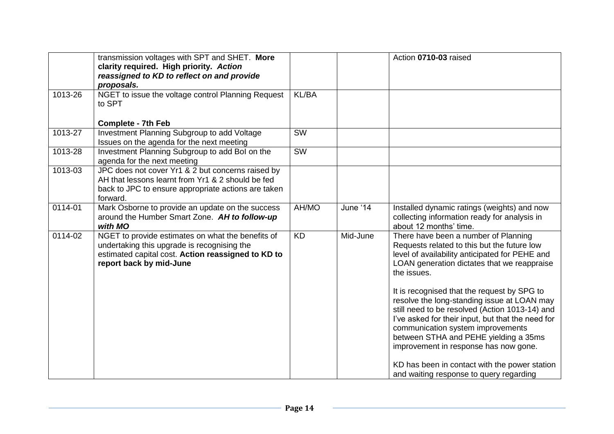|             | transmission voltages with SPT and SHET. More<br>clarity required. High priority. Action<br>reassigned to KD to reflect on and provide<br>proposals.                              |                        |          | Action 0710-03 raised                                                                                                                                                                                                                                                                                                                               |
|-------------|-----------------------------------------------------------------------------------------------------------------------------------------------------------------------------------|------------------------|----------|-----------------------------------------------------------------------------------------------------------------------------------------------------------------------------------------------------------------------------------------------------------------------------------------------------------------------------------------------------|
| 1013-26     | NGET to issue the voltage control Planning Request<br>to SPT                                                                                                                      | <b>KL/BA</b>           |          |                                                                                                                                                                                                                                                                                                                                                     |
|             | <b>Complete - 7th Feb</b>                                                                                                                                                         |                        |          |                                                                                                                                                                                                                                                                                                                                                     |
| 1013-27     | Investment Planning Subgroup to add Voltage<br>Issues on the agenda for the next meeting                                                                                          | <b>SW</b>              |          |                                                                                                                                                                                                                                                                                                                                                     |
| 1013-28     | Investment Planning Subgroup to add Bol on the<br>agenda for the next meeting                                                                                                     | $\overline{\text{SW}}$ |          |                                                                                                                                                                                                                                                                                                                                                     |
| 1013-03     | JPC does not cover Yr1 & 2 but concerns raised by<br>AH that lessons learnt from Yr1 & 2 should be fed<br>back to JPC to ensure appropriate actions are taken<br>forward.         |                        |          |                                                                                                                                                                                                                                                                                                                                                     |
| 0114-01     | Mark Osborne to provide an update on the success<br>around the Humber Smart Zone. AH to follow-up<br>with MO                                                                      | AH/MO                  | June '14 | Installed dynamic ratings (weights) and now<br>collecting information ready for analysis in<br>about 12 months' time.                                                                                                                                                                                                                               |
| $0114 - 02$ | NGET to provide estimates on what the benefits of<br>undertaking this upgrade is recognising the<br>estimated capital cost. Action reassigned to KD to<br>report back by mid-June | <b>KD</b>              | Mid-June | There have been a number of Planning<br>Requests related to this but the future low<br>level of availability anticipated for PEHE and<br>LOAN generation dictates that we reappraise<br>the issues.<br>It is recognised that the request by SPG to<br>resolve the long-standing issue at LOAN may<br>still need to be resolved (Action 1013-14) and |
|             |                                                                                                                                                                                   |                        |          | I've asked for their input, but that the need for<br>communication system improvements<br>between STHA and PEHE yielding a 35ms<br>improvement in response has now gone.<br>KD has been in contact with the power station<br>and waiting response to query regarding                                                                                |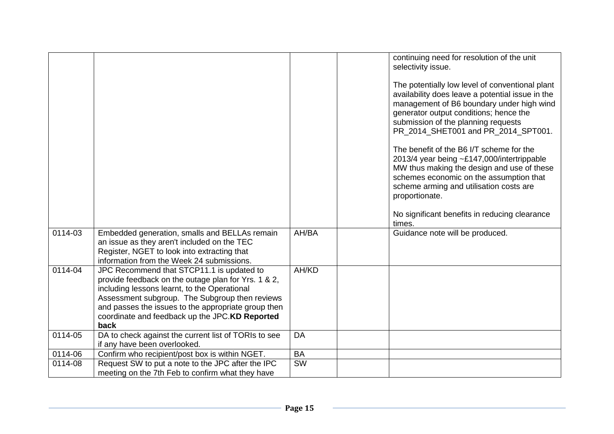|         |                                                                                                                                                                                                                                                                                                                     |           | continuing need for resolution of the unit<br>selectivity issue.<br>The potentially low level of conventional plant<br>availability does leave a potential issue in the<br>management of B6 boundary under high wind<br>generator output conditions; hence the<br>submission of the planning requests<br>PR 2014 SHET001 and PR 2014 SPT001.<br>The benefit of the B6 I/T scheme for the<br>2013/4 year being ~£147,000/intertrippable<br>MW thus making the design and use of these<br>schemes economic on the assumption that<br>scheme arming and utilisation costs are<br>proportionate.<br>No significant benefits in reducing clearance |
|---------|---------------------------------------------------------------------------------------------------------------------------------------------------------------------------------------------------------------------------------------------------------------------------------------------------------------------|-----------|-----------------------------------------------------------------------------------------------------------------------------------------------------------------------------------------------------------------------------------------------------------------------------------------------------------------------------------------------------------------------------------------------------------------------------------------------------------------------------------------------------------------------------------------------------------------------------------------------------------------------------------------------|
| 0114-03 | Embedded generation, smalls and BELLAs remain<br>an issue as they aren't included on the TEC<br>Register, NGET to look into extracting that<br>information from the Week 24 submissions.                                                                                                                            | AH/BA     | times.<br>Guidance note will be produced.                                                                                                                                                                                                                                                                                                                                                                                                                                                                                                                                                                                                     |
| 0114-04 | JPC Recommend that STCP11.1 is updated to<br>provide feedback on the outage plan for Yrs. 1 & 2,<br>including lessons learnt, to the Operational<br>Assessment subgroup. The Subgroup then reviews<br>and passes the issues to the appropriate group then<br>coordinate and feedback up the JPC.KD Reported<br>back | AH/KD     |                                                                                                                                                                                                                                                                                                                                                                                                                                                                                                                                                                                                                                               |
| 0114-05 | DA to check against the current list of TORIs to see                                                                                                                                                                                                                                                                | <b>DA</b> |                                                                                                                                                                                                                                                                                                                                                                                                                                                                                                                                                                                                                                               |
|         | if any have been overlooked.                                                                                                                                                                                                                                                                                        |           |                                                                                                                                                                                                                                                                                                                                                                                                                                                                                                                                                                                                                                               |
| 0114-06 | Confirm who recipient/post box is within NGET.                                                                                                                                                                                                                                                                      | <b>BA</b> |                                                                                                                                                                                                                                                                                                                                                                                                                                                                                                                                                                                                                                               |
| 0114-08 | Request SW to put a note to the JPC after the IPC<br>meeting on the 7th Feb to confirm what they have                                                                                                                                                                                                               | SW        |                                                                                                                                                                                                                                                                                                                                                                                                                                                                                                                                                                                                                                               |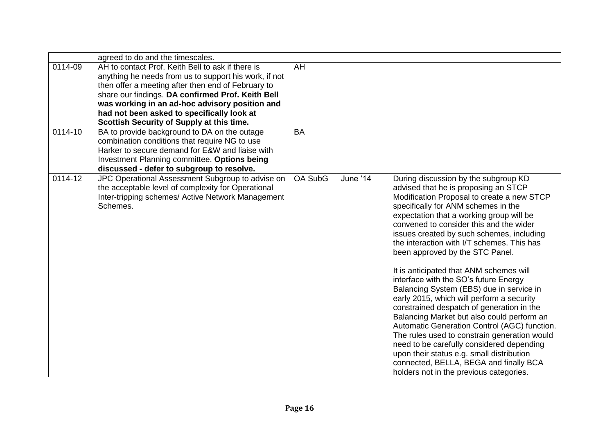|         | agreed to do and the timescales.                                                                                                                                                                                                                                                                                                                                   |                |          |                                                                                                                                                                                                                                                                                                                                                                                                                                                                                                                                                                                                                                                                                                                                                                                                                                                                                                                                               |
|---------|--------------------------------------------------------------------------------------------------------------------------------------------------------------------------------------------------------------------------------------------------------------------------------------------------------------------------------------------------------------------|----------------|----------|-----------------------------------------------------------------------------------------------------------------------------------------------------------------------------------------------------------------------------------------------------------------------------------------------------------------------------------------------------------------------------------------------------------------------------------------------------------------------------------------------------------------------------------------------------------------------------------------------------------------------------------------------------------------------------------------------------------------------------------------------------------------------------------------------------------------------------------------------------------------------------------------------------------------------------------------------|
| 0114-09 | AH to contact Prof. Keith Bell to ask if there is<br>anything he needs from us to support his work, if not<br>then offer a meeting after then end of February to<br>share our findings. DA confirmed Prof. Keith Bell<br>was working in an ad-hoc advisory position and<br>had not been asked to specifically look at<br>Scottish Security of Supply at this time. | AH             |          |                                                                                                                                                                                                                                                                                                                                                                                                                                                                                                                                                                                                                                                                                                                                                                                                                                                                                                                                               |
| 0114-10 | BA to provide background to DA on the outage<br>combination conditions that require NG to use<br>Harker to secure demand for E&W and liaise with<br>Investment Planning committee. Options being<br>discussed - defer to subgroup to resolve.                                                                                                                      | <b>BA</b>      |          |                                                                                                                                                                                                                                                                                                                                                                                                                                                                                                                                                                                                                                                                                                                                                                                                                                                                                                                                               |
| 0114-12 | JPC Operational Assessment Subgroup to advise on<br>the acceptable level of complexity for Operational<br>Inter-tripping schemes/ Active Network Management<br>Schemes.                                                                                                                                                                                            | <b>OA SubG</b> | June '14 | During discussion by the subgroup KD<br>advised that he is proposing an STCP<br>Modification Proposal to create a new STCP<br>specifically for ANM schemes in the<br>expectation that a working group will be<br>convened to consider this and the wider<br>issues created by such schemes, including<br>the interaction with I/T schemes. This has<br>been approved by the STC Panel.<br>It is anticipated that ANM schemes will<br>interface with the SO's future Energy<br>Balancing System (EBS) due in service in<br>early 2015, which will perform a security<br>constrained despatch of generation in the<br>Balancing Market but also could perform an<br>Automatic Generation Control (AGC) function.<br>The rules used to constrain generation would<br>need to be carefully considered depending<br>upon their status e.g. small distribution<br>connected, BELLA, BEGA and finally BCA<br>holders not in the previous categories. |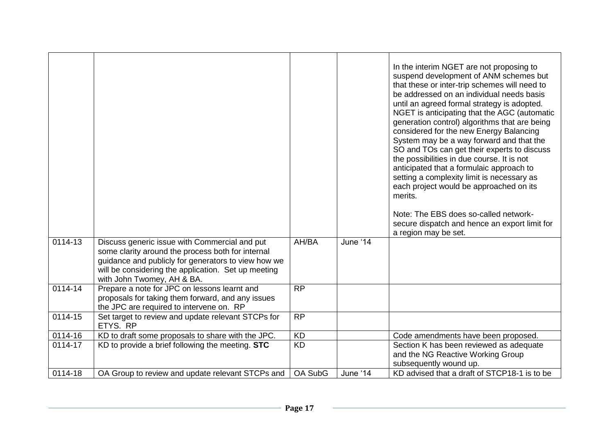|             |                                                                                                                                                                                                                                                |                 |          | In the interim NGET are not proposing to<br>suspend development of ANM schemes but<br>that these or inter-trip schemes will need to<br>be addressed on an individual needs basis<br>until an agreed formal strategy is adopted.<br>NGET is anticipating that the AGC (automatic<br>generation control) algorithms that are being<br>considered for the new Energy Balancing<br>System may be a way forward and that the<br>SO and TOs can get their experts to discuss<br>the possibilities in due course. It is not<br>anticipated that a formulaic approach to<br>setting a complexity limit is necessary as<br>each project would be approached on its<br>merits.<br>Note: The EBS does so-called network-<br>secure dispatch and hence an export limit for<br>a region may be set. |
|-------------|------------------------------------------------------------------------------------------------------------------------------------------------------------------------------------------------------------------------------------------------|-----------------|----------|----------------------------------------------------------------------------------------------------------------------------------------------------------------------------------------------------------------------------------------------------------------------------------------------------------------------------------------------------------------------------------------------------------------------------------------------------------------------------------------------------------------------------------------------------------------------------------------------------------------------------------------------------------------------------------------------------------------------------------------------------------------------------------------|
| 0114-13     | Discuss generic issue with Commercial and put<br>some clarity around the process both for internal<br>guidance and publicly for generators to view how we<br>will be considering the application. Set up meeting<br>with John Twomey, AH & BA. | AH/BA           | June '14 |                                                                                                                                                                                                                                                                                                                                                                                                                                                                                                                                                                                                                                                                                                                                                                                        |
| 0114-14     | Prepare a note for JPC on lessons learnt and<br>proposals for taking them forward, and any issues<br>the JPC are required to intervene on. RP                                                                                                  | <b>RP</b>       |          |                                                                                                                                                                                                                                                                                                                                                                                                                                                                                                                                                                                                                                                                                                                                                                                        |
| $0114 - 15$ | Set target to review and update relevant STCPs for<br>ETYS. RP                                                                                                                                                                                 | <b>RP</b>       |          |                                                                                                                                                                                                                                                                                                                                                                                                                                                                                                                                                                                                                                                                                                                                                                                        |
| 0114-16     | KD to draft some proposals to share with the JPC.                                                                                                                                                                                              | $\overline{KD}$ |          | Code amendments have been proposed.                                                                                                                                                                                                                                                                                                                                                                                                                                                                                                                                                                                                                                                                                                                                                    |
| 0114-17     | KD to provide a brief following the meeting. STC                                                                                                                                                                                               | <b>KD</b>       |          | Section K has been reviewed as adequate<br>and the NG Reactive Working Group<br>subsequently wound up.                                                                                                                                                                                                                                                                                                                                                                                                                                                                                                                                                                                                                                                                                 |
| 0114-18     | OA Group to review and update relevant STCPs and                                                                                                                                                                                               | OA SubG         | June '14 | KD advised that a draft of STCP18-1 is to be                                                                                                                                                                                                                                                                                                                                                                                                                                                                                                                                                                                                                                                                                                                                           |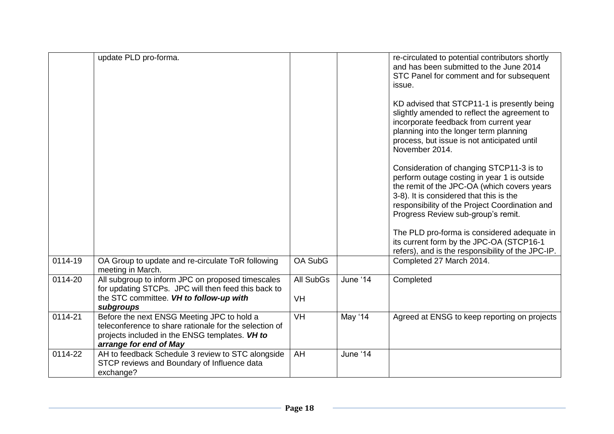|         | update PLD pro-forma.                                                                                                                                                            |                               |          | re-circulated to potential contributors shortly<br>and has been submitted to the June 2014<br>STC Panel for comment and for subsequent<br>issue.                                                                                                                          |
|---------|----------------------------------------------------------------------------------------------------------------------------------------------------------------------------------|-------------------------------|----------|---------------------------------------------------------------------------------------------------------------------------------------------------------------------------------------------------------------------------------------------------------------------------|
|         |                                                                                                                                                                                  |                               |          | KD advised that STCP11-1 is presently being<br>slightly amended to reflect the agreement to<br>incorporate feedback from current year<br>planning into the longer term planning<br>process, but issue is not anticipated until<br>November 2014.                          |
|         |                                                                                                                                                                                  |                               |          | Consideration of changing STCP11-3 is to<br>perform outage costing in year 1 is outside<br>the remit of the JPC-OA (which covers years<br>3-8). It is considered that this is the<br>responsibility of the Project Coordination and<br>Progress Review sub-group's remit. |
|         |                                                                                                                                                                                  |                               |          | The PLD pro-forma is considered adequate in<br>its current form by the JPC-OA (STCP16-1<br>refers), and is the responsibility of the JPC-IP.                                                                                                                              |
| 0114-19 | OA Group to update and re-circulate ToR following<br>meeting in March.                                                                                                           | OA SubG                       |          | Completed 27 March 2014.                                                                                                                                                                                                                                                  |
| 0114-20 | All subgroup to inform JPC on proposed timescales<br>for updating STCPs. JPC will then feed this back to<br>the STC committee. VH to follow-up with<br>subgroups                 | <b>All SubGs</b><br><b>VH</b> | June '14 | Completed                                                                                                                                                                                                                                                                 |
| 0114-21 | Before the next ENSG Meeting JPC to hold a<br>teleconference to share rationale for the selection of<br>projects included in the ENSG templates. VH to<br>arrange for end of May | VH                            | May '14  | Agreed at ENSG to keep reporting on projects                                                                                                                                                                                                                              |
| 0114-22 | AH to feedback Schedule 3 review to STC alongside<br>STCP reviews and Boundary of Influence data<br>exchange?                                                                    | AH                            | June '14 |                                                                                                                                                                                                                                                                           |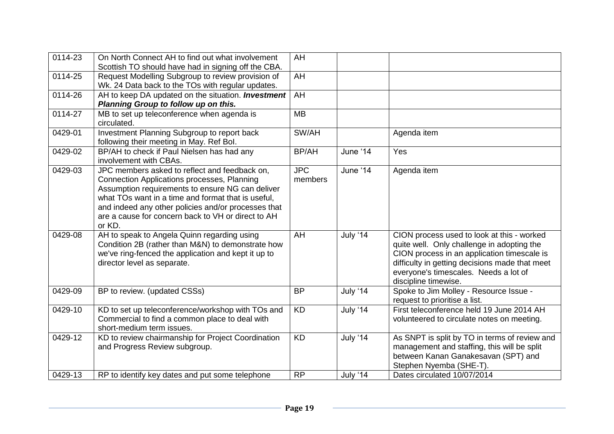| 0114-23     | On North Connect AH to find out what involvement          | AH         |                        |                                                |
|-------------|-----------------------------------------------------------|------------|------------------------|------------------------------------------------|
|             | Scottish TO should have had in signing off the CBA.       |            |                        |                                                |
| 0114-25     | Request Modelling Subgroup to review provision of         | AH         |                        |                                                |
|             | Wk. 24 Data back to the TOs with regular updates.         |            |                        |                                                |
| 0114-26     | AH to keep DA updated on the situation. <b>Investment</b> | AH         |                        |                                                |
|             | Planning Group to follow up on this.                      |            |                        |                                                |
| 0114-27     | MB to set up teleconference when agenda is                | <b>MB</b>  |                        |                                                |
|             | circulated.                                               |            |                        |                                                |
| 0429-01     | Investment Planning Subgroup to report back               | SW/AH      |                        | Agenda item                                    |
|             | following their meeting in May. Ref Bol.                  |            |                        |                                                |
| 0429-02     | BP/AH to check if Paul Nielsen has had any                | BP/AH      | June '14               | Yes                                            |
|             | involvement with CBAs.                                    |            |                        |                                                |
| 0429-03     | JPC members asked to reflect and feedback on,             | <b>JPC</b> | June ' $1\overline{4}$ | Agenda item                                    |
|             | Connection Applications processes, Planning               | members    |                        |                                                |
|             | Assumption requirements to ensure NG can deliver          |            |                        |                                                |
|             | what TOs want in a time and format that is useful.        |            |                        |                                                |
|             | and indeed any other policies and/or processes that       |            |                        |                                                |
|             | are a cause for concern back to VH or direct to AH        |            |                        |                                                |
|             | or KD.                                                    |            |                        |                                                |
| 0429-08     | AH to speak to Angela Quinn regarding using               | AH         | <b>July '14</b>        | CION process used to look at this - worked     |
|             | Condition 2B (rather than M&N) to demonstrate how         |            |                        | quite well. Only challenge in adopting the     |
|             | we've ring-fenced the application and kept it up to       |            |                        | CION process in an application timescale is    |
|             | director level as separate.                               |            |                        | difficulty in getting decisions made that meet |
|             |                                                           |            |                        | everyone's timescales. Needs a lot of          |
|             |                                                           |            |                        | discipline timewise.                           |
| 0429-09     | BP to review. (updated CSSs)                              | <b>BP</b>  | July '14               | Spoke to Jim Molley - Resource Issue -         |
|             |                                                           |            |                        | request to prioritise a list.                  |
| 0429-10     | KD to set up teleconference/workshop with TOs and         | <b>KD</b>  | July '14               | First teleconference held 19 June 2014 AH      |
|             | Commercial to find a common place to deal with            |            |                        | volunteered to circulate notes on meeting.     |
|             | short-medium term issues.                                 |            |                        |                                                |
| $0429 - 12$ | KD to review chairmanship for Project Coordination        | <b>KD</b>  | July '14               | As SNPT is split by TO in terms of review and  |
|             | and Progress Review subgroup.                             |            |                        | management and staffing, this will be split    |
|             |                                                           |            |                        | between Kanan Ganakesavan (SPT) and            |
|             |                                                           |            |                        | Stephen Nyemba (SHE-T).                        |
| 0429-13     | RP to identify key dates and put some telephone           | <b>RP</b>  | July '14               | Dates circulated 10/07/2014                    |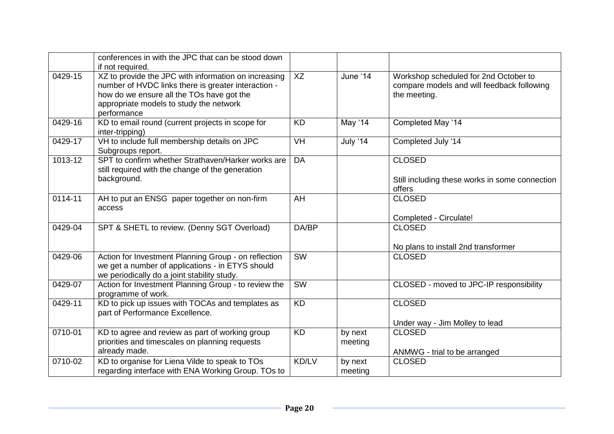|         | conferences in with the JPC that can be stood down<br>if not required.                                                                                                                                             |           |                    |                                                                                                     |
|---------|--------------------------------------------------------------------------------------------------------------------------------------------------------------------------------------------------------------------|-----------|--------------------|-----------------------------------------------------------------------------------------------------|
| 0429-15 | XZ to provide the JPC with information on increasing<br>number of HVDC links there is greater interaction -<br>how do we ensure all the TOs have got the<br>appropriate models to study the network<br>performance | XZ        | June '14           | Workshop scheduled for 2nd October to<br>compare models and will feedback following<br>the meeting. |
| 0429-16 | KD to email round (current projects in scope for<br>inter-tripping)                                                                                                                                                | <b>KD</b> | May '14            | Completed May '14                                                                                   |
| 0429-17 | VH to include full membership details on JPC<br>Subgroups report.                                                                                                                                                  | <b>VH</b> | <b>July '14</b>    | Completed July '14                                                                                  |
| 1013-12 | SPT to confirm whether Strathaven/Harker works are<br>still required with the change of the generation<br>background.                                                                                              | <b>DA</b> |                    | <b>CLOSED</b><br>Still including these works in some connection<br>offers                           |
| 0114-11 | AH to put an ENSG paper together on non-firm<br>access                                                                                                                                                             | AH        |                    | <b>CLOSED</b><br>Completed - Circulate!                                                             |
| 0429-04 | SPT & SHETL to review. (Denny SGT Overload)                                                                                                                                                                        | DA/BP     |                    | <b>CLOSED</b><br>No plans to install 2nd transformer                                                |
| 0429-06 | Action for Investment Planning Group - on reflection<br>we get a number of applications - in ETYS should<br>we periodically do a joint stability study.                                                            | <b>SW</b> |                    | <b>CLOSED</b>                                                                                       |
| 0429-07 | Action for Investment Planning Group - to review the<br>programme of work.                                                                                                                                         | SW        |                    | CLOSED - moved to JPC-IP responsibility                                                             |
| 0429-11 | KD to pick up issues with TOCAs and templates as<br>part of Performance Excellence.                                                                                                                                | <b>KD</b> |                    | <b>CLOSED</b><br>Under way - Jim Molley to lead                                                     |
| 0710-01 | KD to agree and review as part of working group<br>priorities and timescales on planning requests<br>already made.                                                                                                 | <b>KD</b> | by next<br>meeting | <b>CLOSED</b><br>ANMWG - trial to be arranged                                                       |
| 0710-02 | KD to organise for Liena Vilde to speak to TOs<br>regarding interface with ENA Working Group. TOs to                                                                                                               | KD/LV     | by next<br>meeting | <b>CLOSED</b>                                                                                       |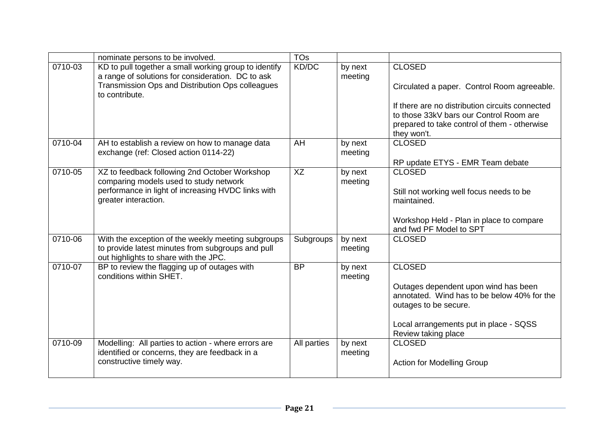|             | nominate persons to be involved.                                                                                                                                                 | <b>TOs</b>  |                    |                                                                                                                                                                                                                           |
|-------------|----------------------------------------------------------------------------------------------------------------------------------------------------------------------------------|-------------|--------------------|---------------------------------------------------------------------------------------------------------------------------------------------------------------------------------------------------------------------------|
| $0710 - 03$ | KD to pull together a small working group to identify<br>a range of solutions for consideration. DC to ask<br>Transmission Ops and Distribution Ops colleagues<br>to contribute. | KD/DC       | by next<br>meeting | <b>CLOSED</b><br>Circulated a paper. Control Room agreeable.<br>If there are no distribution circuits connected<br>to those 33kV bars our Control Room are<br>prepared to take control of them - otherwise<br>they won't. |
| 0710-04     | AH to establish a review on how to manage data<br>exchange (ref: Closed action 0114-22)                                                                                          | AH          | by next<br>meeting | <b>CLOSED</b><br>RP update ETYS - EMR Team debate                                                                                                                                                                         |
| 0710-05     | XZ to feedback following 2nd October Workshop<br>comparing models used to study network<br>performance in light of increasing HVDC links with<br>greater interaction.            | <b>XZ</b>   | by next<br>meeting | <b>CLOSED</b><br>Still not working well focus needs to be<br>maintained.<br>Workshop Held - Plan in place to compare<br>and fwd PF Model to SPT                                                                           |
| 0710-06     | With the exception of the weekly meeting subgroups<br>to provide latest minutes from subgroups and pull<br>out highlights to share with the JPC.                                 | Subgroups   | by next<br>meeting | <b>CLOSED</b>                                                                                                                                                                                                             |
| $0710 - 07$ | BP to review the flagging up of outages with<br>conditions within SHET.                                                                                                          | <b>BP</b>   | by next<br>meeting | <b>CLOSED</b><br>Outages dependent upon wind has been<br>annotated. Wind has to be below 40% for the<br>outages to be secure.<br>Local arrangements put in place - SQSS<br>Review taking place                            |
| 0710-09     | Modelling: All parties to action - where errors are<br>identified or concerns, they are feedback in a<br>constructive timely way.                                                | All parties | by next<br>meeting | <b>CLOSED</b><br><b>Action for Modelling Group</b>                                                                                                                                                                        |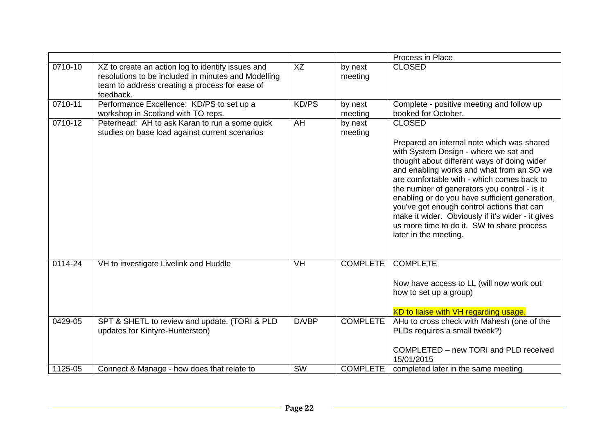|         |                                                                                                                                                                         |           |                    | Process in Place                                                                                                                                                                                                                                                                                                                                                                                                                                                                                                           |
|---------|-------------------------------------------------------------------------------------------------------------------------------------------------------------------------|-----------|--------------------|----------------------------------------------------------------------------------------------------------------------------------------------------------------------------------------------------------------------------------------------------------------------------------------------------------------------------------------------------------------------------------------------------------------------------------------------------------------------------------------------------------------------------|
| 0710-10 | XZ to create an action log to identify issues and<br>resolutions to be included in minutes and Modelling<br>team to address creating a process for ease of<br>feedback. | XZ        | by next<br>meeting | <b>CLOSED</b>                                                                                                                                                                                                                                                                                                                                                                                                                                                                                                              |
| 0710-11 | Performance Excellence: KD/PS to set up a<br>workshop in Scotland with TO reps.                                                                                         | KD/PS     | by next<br>meeting | Complete - positive meeting and follow up<br>booked for October.                                                                                                                                                                                                                                                                                                                                                                                                                                                           |
| 0710-12 | Peterhead: AH to ask Karan to run a some quick<br>studies on base load against current scenarios                                                                        | AH        | by next<br>meeting | <b>CLOSED</b><br>Prepared an internal note which was shared<br>with System Design - where we sat and<br>thought about different ways of doing wider<br>and enabling works and what from an SO we<br>are comfortable with - which comes back to<br>the number of generators you control - is it<br>enabling or do you have sufficient generation,<br>you've got enough control actions that can<br>make it wider. Obviously if it's wider - it gives<br>us more time to do it. SW to share process<br>later in the meeting. |
| 0114-24 | VH to investigate Livelink and Huddle                                                                                                                                   | <b>VH</b> | <b>COMPLETE</b>    | <b>COMPLETE</b><br>Now have access to LL (will now work out<br>how to set up a group)<br>KD to liaise with VH regarding usage.                                                                                                                                                                                                                                                                                                                                                                                             |
| 0429-05 | SPT & SHETL to review and update. (TORI & PLD<br>updates for Kintyre-Hunterston)                                                                                        | DA/BP     | <b>COMPLETE</b>    | AHu to cross check with Mahesh (one of the<br>PLDs requires a small tweek?)<br>COMPLETED - new TORI and PLD received<br>15/01/2015                                                                                                                                                                                                                                                                                                                                                                                         |
| 1125-05 | Connect & Manage - how does that relate to                                                                                                                              | SW        | <b>COMPLETE</b>    | completed later in the same meeting                                                                                                                                                                                                                                                                                                                                                                                                                                                                                        |